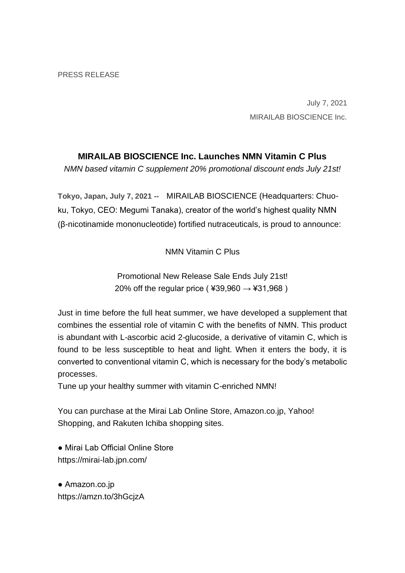July 7, 2021 MIRAILAB BIOSCIENCE Inc.

# **MIRAILAB BIOSCIENCE Inc. Launches NMN Vitamin C Plus**

*NMN based vitamin C supplement 20% promotional discount ends July 21st!*

**Tokyo, Japan, July 7, 2021 --** MIRAILAB BIOSCIENCE (Headquarters: Chuoku, Tokyo, CEO: Megumi Tanaka), creator of the world's highest quality NMN (β-nicotinamide mononucleotide) fortified nutraceuticals, is proud to announce:

NMN Vitamin C Plus

Promotional New Release Sale Ends July 21st! 20% off the regular price ( $439,960 \rightarrow 431,968$ )

Just in time before the full heat summer, we have developed a supplement that combines the essential role of vitamin C with the benefits of NMN. This product is abundant with L-ascorbic acid 2-glucoside, a derivative of vitamin C, which is found to be less susceptible to heat and light. When it enters the body, it is converted to conventional vitamin C, which is necessary for the body's metabolic processes.

Tune up your healthy summer with vitamin C-enriched NMN!

You can purchase at the Mirai Lab Online Store, Amazon.co.jp, Yahoo! Shopping, and Rakuten Ichiba shopping sites.

● Mirai Lab Official Online Store https://mirai-lab.jpn.com/

● Amazon.co.jp https://amzn.to/3hGcjzA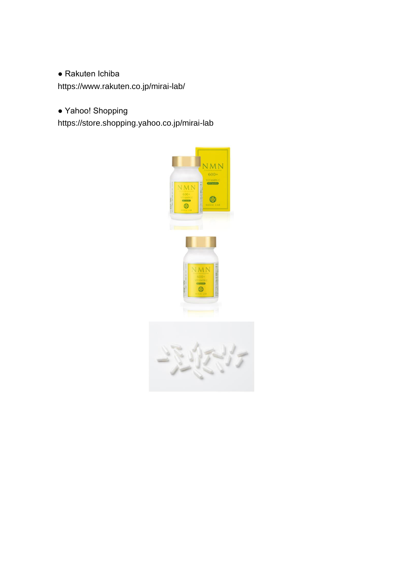● Rakuten Ichiba https://www.rakuten.co.jp/mirai-lab/

# ● Yahoo! Shopping

https://store.shopping.yahoo.co.jp/mirai-lab

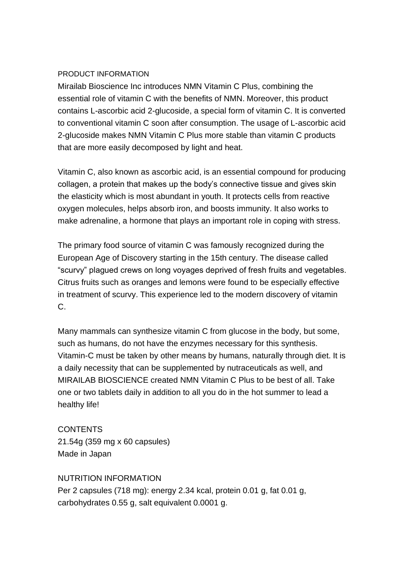#### PRODUCT INFORMATION

Mirailab Bioscience Inc introduces NMN Vitamin C Plus, combining the essential role of vitamin C with the benefits of NMN. Moreover, this product contains L-ascorbic acid 2-glucoside, a special form of vitamin C. It is converted to conventional vitamin C soon after consumption. The usage of L-ascorbic acid 2-glucoside makes NMN Vitamin C Plus more stable than vitamin C products that are more easily decomposed by light and heat.

Vitamin C, also known as ascorbic acid, is an essential compound for producing collagen, a protein that makes up the body's connective tissue and gives skin the elasticity which is most abundant in youth. It protects cells from reactive oxygen molecules, helps absorb iron, and boosts immunity. It also works to make adrenaline, a hormone that plays an important role in coping with stress.

The primary food source of vitamin C was famously recognized during the European Age of Discovery starting in the 15th century. The disease called "scurvy" plagued crews on long voyages deprived of fresh fruits and vegetables. Citrus fruits such as oranges and lemons were found to be especially effective in treatment of scurvy. This experience led to the modern discovery of vitamin C.

Many mammals can synthesize vitamin C from glucose in the body, but some, such as humans, do not have the enzymes necessary for this synthesis. Vitamin-C must be taken by other means by humans, naturally through diet. It is a daily necessity that can be supplemented by nutraceuticals as well, and MIRAILAB BIOSCIENCE created NMN Vitamin C Plus to be best of all. Take one or two tablets daily in addition to all you do in the hot summer to lead a healthy life!

**CONTENTS** 21.54g (359 mg x 60 capsules) Made in Japan

NUTRITION INFORMATION Per 2 capsules (718 mg): energy 2.34 kcal, protein 0.01 g, fat 0.01 g, carbohydrates 0.55 g, salt equivalent 0.0001 g.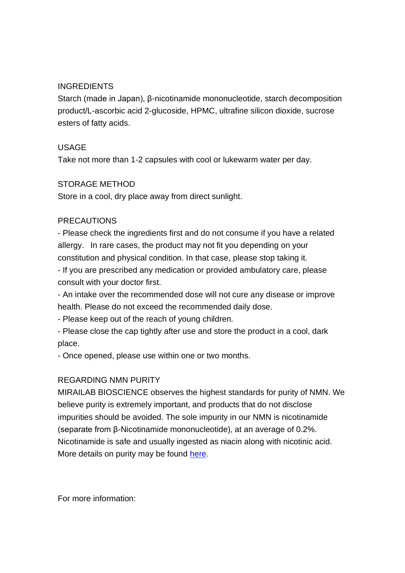### **INGREDIENTS**

Starch (made in Japan), β-nicotinamide mononucleotide, starch decomposition product/L-ascorbic acid 2-glucoside, HPMC, ultrafine silicon dioxide, sucrose esters of fatty acids.

#### USAGE

Take not more than 1-2 capsules with cool or lukewarm water per day.

#### STORAGE METHOD

Store in a cool, dry place away from direct sunlight.

#### PRECAUTIONS

- Please check the ingredients first and do not consume if you have a related allergy. In rare cases, the product may not fit you depending on your constitution and physical condition. In that case, please stop taking it.

- If you are prescribed any medication or provided ambulatory care, please consult with your doctor first.

- An intake over the recommended dose will not cure any disease or improve health. Please do not exceed the recommended daily dose.

- Please keep out of the reach of young children.

- Please close the cap tightly after use and store the product in a cool, dark place.

- Once opened, please use within one or two months.

## REGARDING NMN PURITY

MIRAILAB BIOSCIENCE observes the highest standards for purity of NMN. We believe purity is extremely important, and products that do not disclose impurities should be avoided. The sole impurity in our NMN is nicotinamide (separate from β-Nicotinamide mononucleotide), at an average of 0.2%. Nicotinamide is safe and usually ingested as niacin along with nicotinic acid. More details on purity may be found [here.](https://en.mirailab-bio.com/nmn)

For more information: